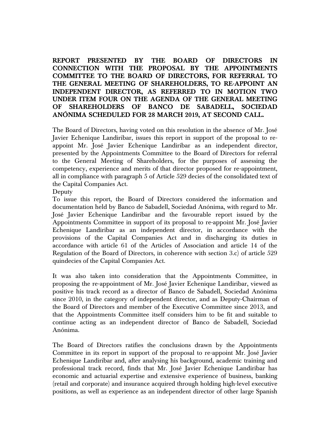## **REPORT PRESENTED BY THE BOARD OF DIRECTORS IN CONNECTION WITH THE PROPOSAL BY THE APPOINTMENTS COMMITTEE TO THE BOARD OF DIRECTORS, FOR REFERRAL TO THE GENERAL MEETING OF SHAREHOLDERS, TO RE-APPOINT AN INDEPENDENT DIRECTOR, AS REFERRED TO IN MOTION TWO UNDER ITEM FOUR ON THE AGENDA OF THE GENERAL MEETING OF SHAREHOLDERS OF BANCO DE SABADELL, SOCIEDAD ANÓNIMA SCHEDULED FOR 28 MARCH 2019, AT SECOND CALL.**

The Board of Directors, having voted on this resolution in the absence of Mr. José Javier Echenique Landiribar, issues this report in support of the proposal to reappoint Mr. José Javier Echenique Landiribar as an independent director, presented by the Appointments Committee to the Board of Directors for referral to the General Meeting of Shareholders, for the purposes of assessing the competency, experience and merits of that director proposed for re-appointment, all in compliance with paragraph 5 of Article 529 decies of the consolidated text of the Capital Companies Act.

Deputy

To issue this report, the Board of Directors considered the information and documentation held by Banco de Sabadell, Sociedad Anónima, with regard to Mr. José Javier Echenique Landiribar and the favourable report issued by the Appointments Committee in support of its proposal to re-appoint Mr. José Javier Echenique Landiribar as an independent director, in accordance with the provisions of the Capital Companies Act and in discharging its duties in accordance with article 61 of the Articles of Association and article 14 of the Regulation of the Board of Directors, in coherence with section 3.c) of article 529 quindecies of the Capital Companies Act.

It was also taken into consideration that the Appointments Committee, in proposing the re-appointment of Mr. José Javier Echenique Landiribar, viewed as positive his track record as a director of Banco de Sabadell, Sociedad Anónima since 2010, in the category of independent director, and as Deputy-Chairman of the Board of Directors and member of the Executive Committee since 2013, and that the Appointments Committee itself considers him to be fit and suitable to continue acting as an independent director of Banco de Sabadell, Sociedad Anónima.

The Board of Directors ratifies the conclusions drawn by the Appointments Committee in its report in support of the proposal to re-appoint Mr. José Javier Echenique Landiribar and, after analysing his background, academic training and professional track record, finds that Mr. José Javier Echenique Landiribar has economic and actuarial expertise and extensive experience of business, banking (retail and corporate) and insurance acquired through holding high-level executive positions, as well as experience as an independent director of other large Spanish